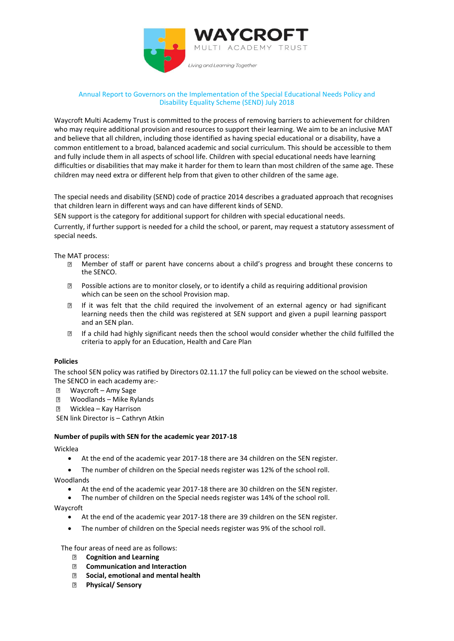

### Annual Report to Governors on the Implementation of the Special Educational Needs Policy and Disability Equality Scheme (SEND) July 2018

Waycroft Multi Academy Trust is committed to the process of removing barriers to achievement for children who may require additional provision and resources to support their learning. We aim to be an inclusive MAT and believe that all children, including those identified as having special educational or a disability, have a common entitlement to a broad, balanced academic and social curriculum. This should be accessible to them and fully include them in all aspects of school life. Children with special educational needs have learning difficulties or disabilities that may make it harder for them to learn than most children of the same age. These children may need extra or different help from that given to other children of the same age.

The special needs and disability (SEND) code of practice 2014 describes a graduated approach that recognises that children learn in different ways and can have different kinds of SEND.

SEN support is the category for additional support for children with special educational needs.

Currently, if further support is needed for a child the school, or parent, may request a statutory assessment of special needs.

The MAT process:

- Member of staff or parent have concerns about a child's progress and brought these concerns to the SENCO.
- $\boxtimes$  Possible actions are to monitor closely, or to identify a child as requiring additional provision which can be seen on the school Provision map.
- $\overline{2}$ If it was felt that the child required the involvement of an external agency or had significant learning needs then the child was registered at SEN support and given a pupil learning passport and an SEN plan.
- If a child had highly significant needs then the school would consider whether the child fulfilled the  $\mathbb{R}$ criteria to apply for an Education, Health and Care Plan

### **Policies**

The school SEN policy was ratified by Directors 02.11.17 the full policy can be viewed on the school website. The SENCO in each academy are:-

- $\overline{2}$ Waycroft – Amy Sage
- $\overline{2}$ Woodlands – Mike Rylands
- **2 Wicklea Kay Harrison**

SEN link Director is – Cathryn Atkin

#### **Number of pupils with SEN for the academic year 2017-18**

Wicklea

- At the end of the academic year 2017-18 there are 34 children on the SEN register.
- The number of children on the Special needs register was 12% of the school roll.

Woodlands

- At the end of the academic year 2017-18 there are 30 children on the SEN register.
- The number of children on the Special needs register was 14% of the school roll.

Waycroft

- At the end of the academic year 2017-18 there are 39 children on the SEN register.
- The number of children on the Special needs register was 9% of the school roll.

The four areas of need are as follows:

- **Cognition and Learning**
- $\overline{2}$ **Communication and Interaction**
- **Social, emotional and mental health**  $\overline{2}$
- **Physical/ Sensory**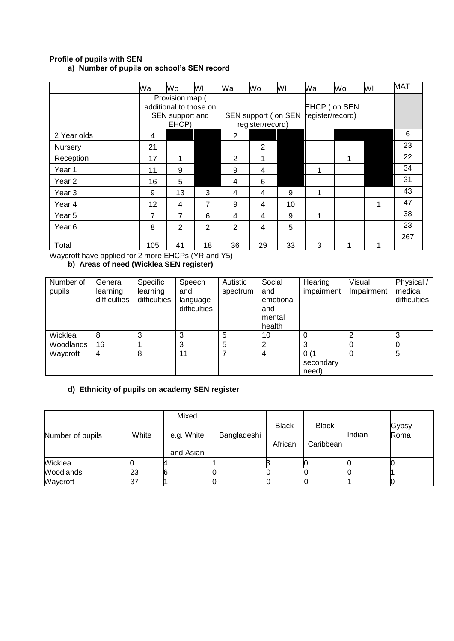## **Profile of pupils with SEN a) Number of pupils on school's SEN record**

|                                                                                       | Wa  | Wo                                                                    | WI             | Wa             | Wo                                      | ΜI | Wa                               | Wo | WI | <b>MAT</b> |
|---------------------------------------------------------------------------------------|-----|-----------------------------------------------------------------------|----------------|----------------|-----------------------------------------|----|----------------------------------|----|----|------------|
|                                                                                       |     | Provision map (<br>additional to those on<br>SEN support and<br>EHCP) |                |                | SEN support (on SEN<br>register/record) |    | EHCP (on SEN<br>register/record) |    |    |            |
| 2 Year olds                                                                           | 4   |                                                                       |                | $\overline{2}$ |                                         |    |                                  |    |    | 6          |
| <b>Nursery</b>                                                                        | 21  |                                                                       |                |                | 2                                       |    |                                  |    |    | 23         |
| Reception                                                                             | 17  |                                                                       |                | $\overline{2}$ |                                         |    |                                  |    |    | 22         |
| Year 1                                                                                | 11  | 9                                                                     |                | 9              | 4                                       |    |                                  |    |    | 34         |
| Year 2                                                                                | 16  | 5                                                                     |                | 4              | 6                                       |    |                                  |    |    | 31         |
| Year <sub>3</sub>                                                                     | 9   | 13                                                                    | 3              | 4              | 4                                       | 9  | 1                                |    |    | 43         |
| Year 4                                                                                | 12  | 4                                                                     | $\overline{7}$ | 9              | 4                                       | 10 |                                  |    |    | 47         |
| Year 5                                                                                | 7   | $\overline{7}$                                                        | 6              | 4              | 4                                       | 9  | 4                                |    |    | 38         |
| Year 6                                                                                | 8   | $\overline{2}$                                                        | 2              | $\overline{2}$ | 4                                       | 5  |                                  |    |    | 23         |
| Total<br>$M_{\rm H}$ and $M_{\rm H}$ is a set of $M_{\rm H}$ is $\alpha$ and $\alpha$ | 105 | 41<br>F110D. N/D. 117F1                                               | 18             | 36             | 29                                      | 33 | 3                                |    |    | 267        |

Waycroft have applied for 2 more EHCPs (YR and Y5) **b) Areas of need (Wicklea SEN register)**

| Number of<br>pupils | General<br>learning<br>difficulties | Specific<br>learning<br>difficulties | Speech<br>and<br>language<br>difficulties | Autistic<br>spectrum | Social<br>and<br>emotional<br>and<br>mental<br>health | Hearing<br>impairment      | Visual<br>Impairment | Physical /<br>medical<br>difficulties |
|---------------------|-------------------------------------|--------------------------------------|-------------------------------------------|----------------------|-------------------------------------------------------|----------------------------|----------------------|---------------------------------------|
| Wicklea             | 8                                   | 3                                    | 3                                         | 5                    | 10                                                    | 0                          | ⌒                    | 3                                     |
| Woodlands           | 16                                  |                                      | 3                                         | 5                    | っ                                                     | 3                          |                      |                                       |
| Waycroft            | 4                                   | 8                                    | 11                                        | 7                    | 4                                                     | 0(1)<br>secondary<br>need) |                      | 5                                     |

# **d) Ethnicity of pupils on academy SEN register**

| Number of pupils | White | Mixed<br>e.g. White<br>and Asian | Bangladeshi | <b>Black</b><br>African | <b>Black</b><br>Caribbean | Indian | Gypsy<br>Roma |
|------------------|-------|----------------------------------|-------------|-------------------------|---------------------------|--------|---------------|
| Wicklea          |       |                                  |             |                         |                           |        |               |
| Woodlands        | 23    |                                  |             |                         |                           |        |               |
| Waycroft         | 37    |                                  |             |                         |                           |        |               |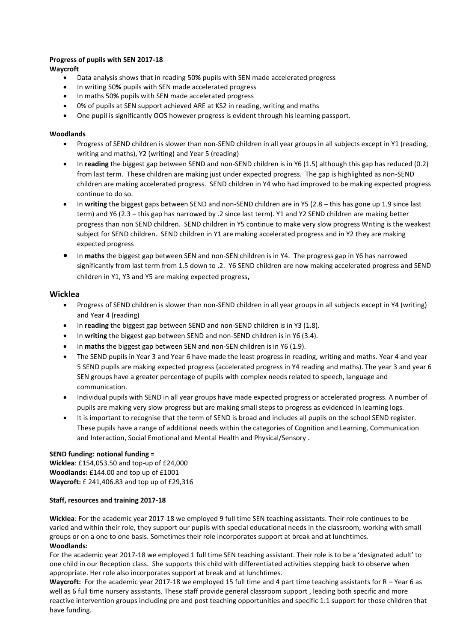### **Progress of pupils with SEN 2017-18**

**Waycroft** 

- Data analysis shows that in reading 50**%** pupils with SEN made accelerated progress
- In writing 50**%** pupils with SEN made accelerated progress
- In maths 50**%** pupils with SEN made accelerated progress
- 0% of pupils at SEN support achieved ARE at KS2 in reading, writing and maths
- One pupil is significantly OOS however progress is evident through his learning passport.

### **Woodlands**

- Progress of SEND children is slower than non-SEND children in all year groups in all subjects except in Y1 (reading, writing and maths), Y2 (writing) and Year 5 (reading)
- In **reading** the biggest gap between SEND and non-SEND children is in Y6 (1.5) although this gap has reduced (0.2) from last term. These children are making just under expected progress. The gap is highlighted as non-SEND children are making accelerated progress. SEND children in Y4 who had improved to be making expected progress continue to do so.
- In **writing** the biggest gaps between SEND and non-SEND children are in Y5 (2.8 this has gone up 1.9 since last term) and Y6 (2.3 – this gap has narrowed by .2 since last term). Y1 and Y2 SEND children are making better progress than non SEND children. SEND children in Y5 continue to make very slow progress Writing is the weakest subject for SEND children. SEND children in Y1 are making accelerated progress and in Y2 they are making expected progress
- In **maths** the biggest gap between SEN and non-SEN children is in Y4. The progress gap in Y6 has narrowed significantly from last term from 1.5 down to .2. Y6 SEND children are now making accelerated progress and SEND children in Y1, Y3 and Y5 are making expected progress,

### **Wicklea**

- Progress of SEND children is slower than non-SEND children in all year groups in all subjects except in Y4 (writing) and Year 4 (reading)
- In **reading** the biggest gap between SEND and non-SEND children is in Y3 (1.8).
- In **writing** the biggest gap between SEND and non-SEND children is in Y6 (3.4).
- In **maths** the biggest gap between SEN and non-SEN children is in Y6 (1.9).
- The SEND pupils in Year 3 and Year 6 have made the least progress in reading, writing and maths. Year 4 and year 5 SEND pupils are making expected progress (accelerated progress in Y4 reading and maths). The year 3 and year 6 SEN groups have a greater percentage of pupils with complex needs related to speech, language and communication.
- Individual pupils with SEND in all year groups have made expected progress or accelerated progress. A number of pupils are making very slow progress but are making small steps to progress as evidenced in learning logs.
- It is important to recognise that the term of SEND is broad and includes all pupils on the school SEND register. These pupils have a range of additional needs within the categories of Cognition and Learning, Communication and Interaction, Social Emotional and Mental Health and Physical/Sensory .

#### **SEND funding: notional funding =**

**Wicklea**: £154,053.50 and top-up of £24,000 **Woodlands:** £144.00 and top up of £1001 **Waycroft:** £ 241,406.83 and top up of £29,316

### **Staff, resources and training 2017-18**

**Wicklea**: For the academic year 2017-18 we employed 9 full time SEN teaching assistants. Their role continues to be varied and within their role, they support our pupils with special educational needs in the classroom, working with small groups or on a one to one basis. Sometimes their role incorporates support at break and at lunchtimes. **Woodlands:**

For the academic year 2017-18 we employed 1 full time SEN teaching assistant. Their role is to be a 'designated adult' to one child in our Reception class. She supports this child with differentiated activities stepping back to observe when appropriate. Her role also incorporates support at break and at lunchtimes.

**Waycroft:** For the academic year 2017-18 we employed 15 full time and 4 part time teaching assistants for R – Year 6 as well as 6 full time nursery assistants. These staff provide general classroom support , leading both specific and more reactive intervention groups including pre and post teaching opportunities and specific 1:1 support for those children that have funding.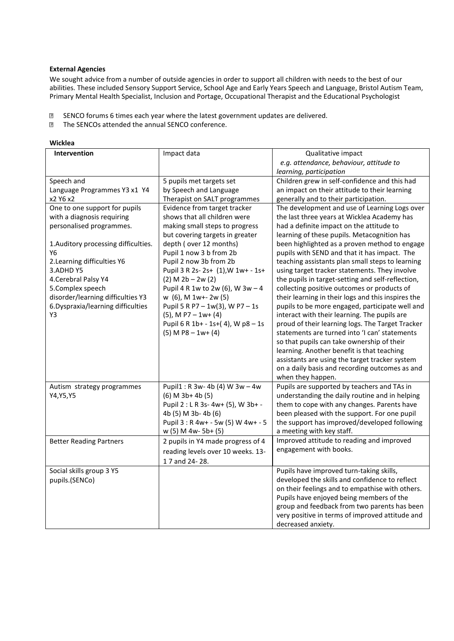#### **External Agencies**

We sought advice from a number of outside agencies in order to support all children with needs to the best of our abilities. These included Sensory Support Service, School Age and Early Years Speech and Language, Bristol Autism Team, Primary Mental Health Specialist, Inclusion and Portage, Occupational Therapist and the Educational Psychologist

- SENCO forums 6 times each year where the latest government updates are delivered.  $\overline{2}$
- The SENCOs attended the annual SENCO conference.

#### **Wicklea**

| Intervention                         | Impact data                                               | Qualitative impact                                                                               |
|--------------------------------------|-----------------------------------------------------------|--------------------------------------------------------------------------------------------------|
|                                      |                                                           | e.g. attendance, behaviour, attitude to                                                          |
|                                      |                                                           | learning, participation                                                                          |
| Speech and                           | 5 pupils met targets set                                  | Children grew in self-confidence and this had                                                    |
| Language Programmes Y3 x1 Y4         | by Speech and Language                                    | an impact on their attitude to their learning                                                    |
| x2 Y6 x2                             | Therapist on SALT programmes                              | generally and to their participation.                                                            |
| One to one support for pupils        | Evidence from target tracker                              | The development and use of Learning Logs over                                                    |
| with a diagnosis requiring           | shows that all children were                              | the last three years at Wicklea Academy has                                                      |
| personalised programmes.             | making small steps to progress                            | had a definite impact on the attitude to                                                         |
|                                      | but covering targets in greater                           | learning of these pupils. Metacognition has                                                      |
| 1. Auditory processing difficulties. | depth (over 12 months)                                    | been highlighted as a proven method to engage                                                    |
| Y6                                   | Pupil 1 now 3 b from 2b                                   | pupils with SEND and that it has impact. The                                                     |
| 2. Learning difficulties Y6          | Pupil 2 now 3b from 2b                                    | teaching assistants plan small steps to learning                                                 |
| 3.ADHD Y5                            | Pupil 3 R 2s- 2s+ (1), W 1w+ - 1s+                        | using target tracker statements. They involve                                                    |
| 4. Cerebral Palsy Y4                 | $(2)$ M $2b - 2w(2)$                                      | the pupils in target-setting and self-reflection,                                                |
| 5. Complex speech                    | Pupil 4 R 1w to 2w (6), W $3w - 4$                        | collecting positive outcomes or products of                                                      |
| disorder/learning difficulties Y3    | w (6), M 1w+-2w (5)                                       | their learning in their logs and this inspires the                                               |
| 6. Dyspraxia/learning difficulties   | Pupil 5 R P7 - 1w(3), W P7 - 1s                           | pupils to be more engaged, participate well and                                                  |
| Y3                                   | $(5)$ , M P7 - 1w+ $(4)$                                  | interact with their learning. The pupils are<br>proud of their learning logs. The Target Tracker |
|                                      | Pupil 6 R 1b+ - 1s+(4), W p8 - 1s<br>$(5)$ M P8 - 1w+ (4) | statements are turned into 'I can' statements                                                    |
|                                      |                                                           | so that pupils can take ownership of their                                                       |
|                                      |                                                           | learning. Another benefit is that teaching                                                       |
|                                      |                                                           | assistants are using the target tracker system                                                   |
|                                      |                                                           | on a daily basis and recording outcomes as and                                                   |
|                                      |                                                           | when they happen.                                                                                |
| Autism strategy programmes           | Pupil1: R 3w- 4b (4) W 3w - 4w                            | Pupils are supported by teachers and TAs in                                                      |
| Y4, Y5, Y5                           | $(6)$ M 3b+ 4b $(5)$                                      | understanding the daily routine and in helping                                                   |
|                                      | Pupil 2 : L R 3s- 4w+ (5), W 3b+ -                        | them to cope with any changes. Parents have                                                      |
|                                      | 4b (5) M 3b-4b (6)                                        | been pleased with the support. For one pupil                                                     |
|                                      | Pupil 3 : R 4w+ - 5w (5) W 4w+ - 5                        | the support has improved/developed following                                                     |
|                                      | w (5) M 4w- 5b+ (5)                                       | a meeting with key staff.                                                                        |
| <b>Better Reading Partners</b>       | 2 pupils in Y4 made progress of 4                         | Improved attitude to reading and improved                                                        |
|                                      | reading levels over 10 weeks. 13-                         | engagement with books.                                                                           |
|                                      | 1 7 and 24-28.                                            |                                                                                                  |
| Social skills group 3 Y5             |                                                           | Pupils have improved turn-taking skills,                                                         |
| pupils.(SENCo)                       |                                                           | developed the skills and confidence to reflect                                                   |
|                                      |                                                           | on their feelings and to empathise with others.                                                  |
|                                      |                                                           | Pupils have enjoyed being members of the                                                         |
|                                      |                                                           | group and feedback from two parents has been                                                     |
|                                      |                                                           | very positive in terms of improved attitude and                                                  |
|                                      |                                                           | decreased anxiety.                                                                               |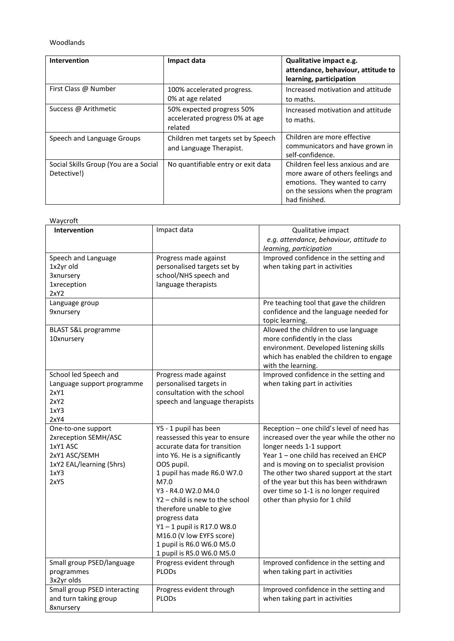### Woodlands

| <b>Intervention</b>                                  | Impact data                                                            | Qualitative impact e.g.<br>attendance, behaviour, attitude to<br>learning, participation                                                                       |
|------------------------------------------------------|------------------------------------------------------------------------|----------------------------------------------------------------------------------------------------------------------------------------------------------------|
| First Class @ Number                                 | 100% accelerated progress.<br>0% at age related                        | Increased motivation and attitude<br>to maths.                                                                                                                 |
| Success @ Arithmetic                                 | 50% expected progress 50%<br>accelerated progress 0% at age<br>related | Increased motivation and attitude<br>to maths.                                                                                                                 |
| Speech and Language Groups                           | Children met targets set by Speech<br>and Language Therapist.          | Children are more effective<br>communicators and have grown in<br>self-confidence.                                                                             |
| Social Skills Group (You are a Social<br>Detective!) | No quantifiable entry or exit data                                     | Children feel less anxious and are<br>more aware of others feelings and<br>emotions. They wanted to carry<br>on the sessions when the program<br>had finished. |

| Waycroft                                                                                                            |                                                                                                                                                                                                                                                                                                                                                                                                          |                                                                                                                                                                                                                                                                                                                                                                               |
|---------------------------------------------------------------------------------------------------------------------|----------------------------------------------------------------------------------------------------------------------------------------------------------------------------------------------------------------------------------------------------------------------------------------------------------------------------------------------------------------------------------------------------------|-------------------------------------------------------------------------------------------------------------------------------------------------------------------------------------------------------------------------------------------------------------------------------------------------------------------------------------------------------------------------------|
| <b>Intervention</b>                                                                                                 | Impact data                                                                                                                                                                                                                                                                                                                                                                                              | Qualitative impact<br>e.g. attendance, behaviour, attitude to<br>learning, participation                                                                                                                                                                                                                                                                                      |
| Speech and Language<br>1x2yr old<br><b>3xnursery</b><br><b>1xreception</b><br>2xY2                                  | Progress made against<br>personalised targets set by<br>school/NHS speech and<br>language therapists                                                                                                                                                                                                                                                                                                     | Improved confidence in the setting and<br>when taking part in activities                                                                                                                                                                                                                                                                                                      |
| Language group<br><b>9xnursery</b>                                                                                  |                                                                                                                                                                                                                                                                                                                                                                                                          | Pre teaching tool that gave the children<br>confidence and the language needed for<br>topic learning.                                                                                                                                                                                                                                                                         |
| <b>BLAST S&amp;L programme</b><br>10xnursery                                                                        |                                                                                                                                                                                                                                                                                                                                                                                                          | Allowed the children to use language<br>more confidently in the class<br>environment. Developed listening skills<br>which has enabled the children to engage<br>with the learning.                                                                                                                                                                                            |
| School led Speech and<br>Language support programme<br>2xY1<br>2xY2<br>1xY3<br>2xY4                                 | Progress made against<br>personalised targets in<br>consultation with the school<br>speech and language therapists                                                                                                                                                                                                                                                                                       | Improved confidence in the setting and<br>when taking part in activities                                                                                                                                                                                                                                                                                                      |
| One-to-one support<br>2xreception SEMH/ASC<br>1xY1 ASC<br>2xY1 ASC/SEMH<br>1xY2 EAL/learning (5hrs)<br>1xY3<br>2xY5 | Y5 - 1 pupil has been<br>reassessed this year to ensure<br>accurate data for transition<br>into Y6. He is a significantly<br>OOS pupil.<br>1 pupil has made R6.0 W7.0<br>M7.0<br>Y3 - R4.0 W2.0 M4.0<br>$Y2$ – child is new to the school<br>therefore unable to give<br>progress data<br>Y1-1 pupil is R17.0 W8.0<br>M16.0 (V low EYFS score)<br>1 pupil is R6.0 W6.0 M5.0<br>1 pupil is R5.0 W6.0 M5.0 | Reception - one child's level of need has<br>increased over the year while the other no<br>longer needs 1-1 support<br>Year 1 - one child has received an EHCP<br>and is moving on to specialist provision<br>The other two shared support at the start<br>of the year but this has been withdrawn<br>over time so 1-1 is no longer required<br>other than physio for 1 child |
| Small group PSED/language<br>programmes<br>3x2yr olds                                                               | Progress evident through<br><b>PLODs</b>                                                                                                                                                                                                                                                                                                                                                                 | Improved confidence in the setting and<br>when taking part in activities                                                                                                                                                                                                                                                                                                      |
| Small group PSED interacting<br>and turn taking group<br>8xnursery                                                  | Progress evident through<br>PLODs                                                                                                                                                                                                                                                                                                                                                                        | Improved confidence in the setting and<br>when taking part in activities                                                                                                                                                                                                                                                                                                      |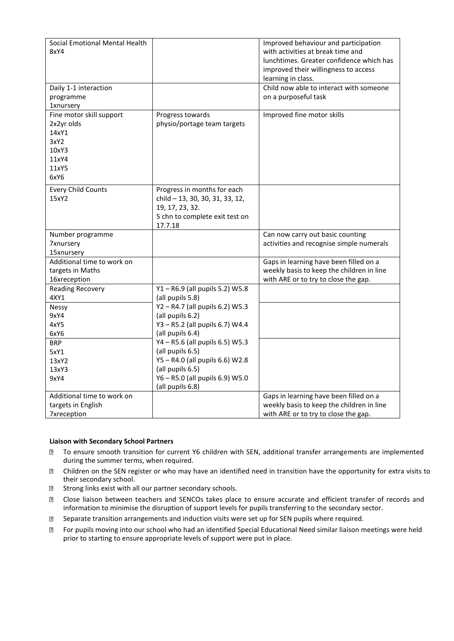| Social Emotional Mental Health<br>8xY4<br>Daily 1-1 interaction<br>programme               |                                                                                                                                | Improved behaviour and participation<br>with activities at break time and<br>lunchtimes. Greater confidence which has<br>improved their willingness to access<br>learning in class.<br>Child now able to interact with someone<br>on a purposeful task |
|--------------------------------------------------------------------------------------------|--------------------------------------------------------------------------------------------------------------------------------|--------------------------------------------------------------------------------------------------------------------------------------------------------------------------------------------------------------------------------------------------------|
| <b>1xnursery</b>                                                                           |                                                                                                                                |                                                                                                                                                                                                                                                        |
| Fine motor skill support<br>2x2yr olds<br>14xY1<br>3xY2<br>10xY3<br>11xY4<br>11xY5<br>6xY6 | Progress towards<br>physio/portage team targets                                                                                | Improved fine motor skills                                                                                                                                                                                                                             |
| <b>Every Child Counts</b><br>15xY2                                                         | Progress in months for each<br>child - 13, 30, 30, 31, 33, 12,<br>19, 17, 23, 32.<br>5 chn to complete exit test on<br>17.7.18 |                                                                                                                                                                                                                                                        |
| Number programme<br><b>7xnursery</b><br>15xnursery                                         |                                                                                                                                | Can now carry out basic counting<br>activities and recognise simple numerals                                                                                                                                                                           |
| Additional time to work on<br>targets in Maths<br>16xreception                             |                                                                                                                                | Gaps in learning have been filled on a<br>weekly basis to keep the children in line<br>with ARE or to try to close the gap.                                                                                                                            |
| <b>Reading Recovery</b><br>4XY1                                                            | Y1-R6.9 (all pupils 5.2) W5.8<br>(all pupils 5.8)                                                                              |                                                                                                                                                                                                                                                        |
| Nessy<br>9xY4<br>4xY5<br>6xY6                                                              | Y2-R4.7 (all pupils 6.2) W5.3<br>(all pupils 6.2)<br>Y3 - R5.2 (all pupils 6.7) W4.4<br>(all pupils 6.4)                       |                                                                                                                                                                                                                                                        |
| <b>BRP</b>                                                                                 | Y4 - R5.6 (all pupils 6.5) W5.3                                                                                                |                                                                                                                                                                                                                                                        |
| 5xY1                                                                                       | (all pupils 6.5)<br>Y5-R4.0 (all pupils 6.6) W2.8                                                                              |                                                                                                                                                                                                                                                        |
| 13xY2<br>13xY3                                                                             | (all pupils 6.5)                                                                                                               |                                                                                                                                                                                                                                                        |
| 9xY4                                                                                       | Y6 - R5.0 (all pupils 6.9) W5.0<br>(all pupils 6.8)                                                                            |                                                                                                                                                                                                                                                        |
| Additional time to work on                                                                 |                                                                                                                                | Gaps in learning have been filled on a                                                                                                                                                                                                                 |
| targets in English                                                                         |                                                                                                                                | weekly basis to keep the children in line                                                                                                                                                                                                              |
| 7xreception                                                                                |                                                                                                                                | with ARE or to try to close the gap.                                                                                                                                                                                                                   |

#### **Liaison with Secondary School Partners**

- To ensure smooth transition for current Y6 children with SEN, additional transfer arrangements are implemented  $\overline{?}$ during the summer terms, when required.
- $\overline{2}$ Children on the SEN register or who may have an identified need in transition have the opportunity for extra visits to their secondary school.
- $\overline{2}$ Strong links exist with all our partner secondary schools.
- Close liaison between teachers and SENCOs takes place to ensure accurate and efficient transfer of records and  $\overline{2}$ information to minimise the disruption of support levels for pupils transferring to the secondary sector.
- Separate transition arrangements and induction visits were set up for SEN pupils where required.  $\overline{?}$
- For pupils moving into our school who had an identified Special Educational Need similar liaison meetings were held  $\overline{?}$ prior to starting to ensure appropriate levels of support were put in place.